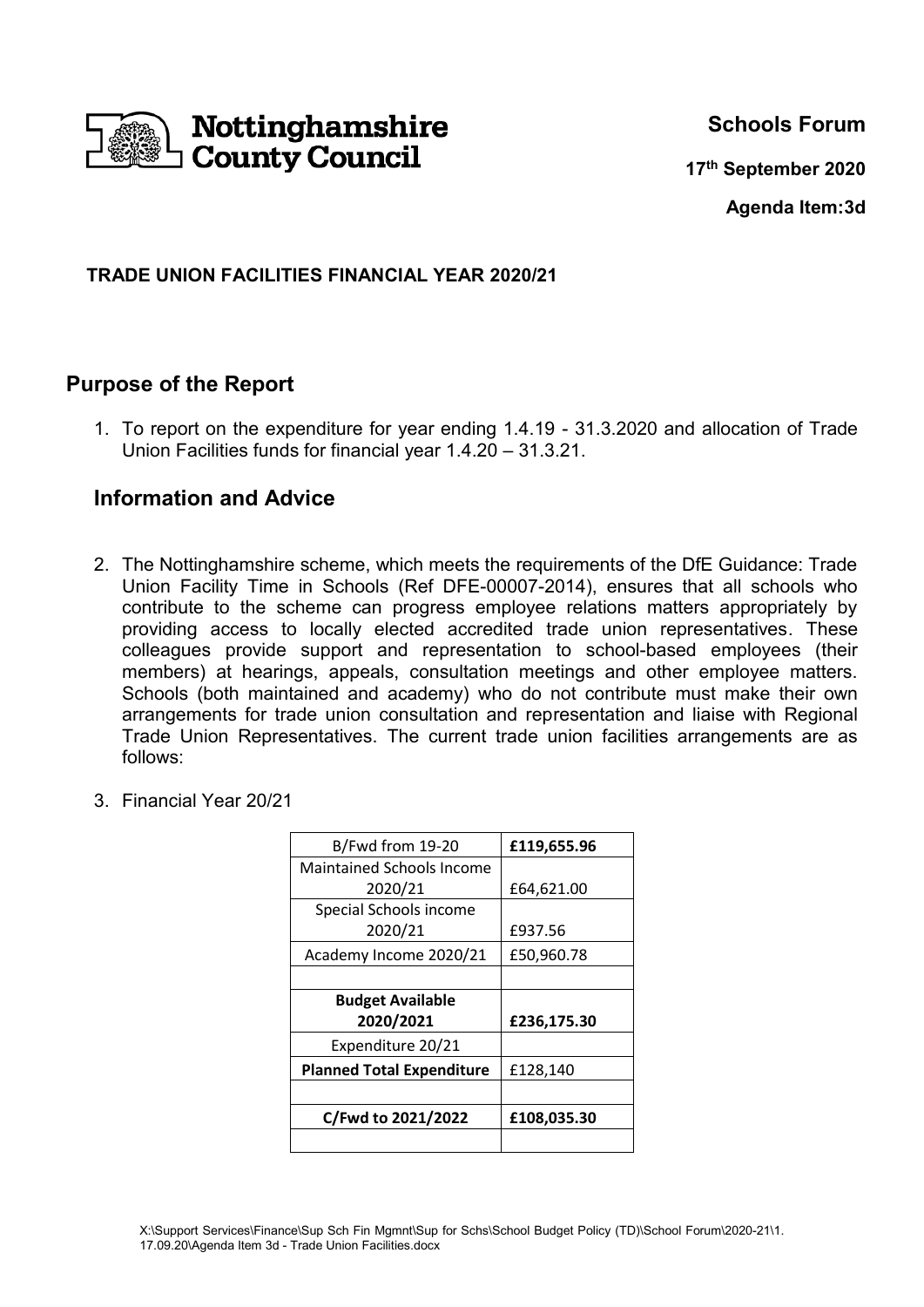

**Schools Forum**

**17th September 2020**

**Agenda Item:3d**

### **TRADE UNION FACILITIES FINANCIAL YEAR 2020/21**

## **Purpose of the Report**

1. To report on the expenditure for year ending 1.4.19 - 31.3.2020 and allocation of Trade Union Facilities funds for financial year 1.4.20 – 31.3.21.

## **Information and Advice**

- 2. The Nottinghamshire scheme, which meets the requirements of the DfE Guidance: Trade Union Facility Time in Schools (Ref DFE-00007-2014), ensures that all schools who contribute to the scheme can progress employee relations matters appropriately by providing access to locally elected accredited trade union representatives. These colleagues provide support and representation to school-based employees (their members) at hearings, appeals, consultation meetings and other employee matters. Schools (both maintained and academy) who do not contribute must make their own arrangements for trade union consultation and representation and liaise with Regional Trade Union Representatives. The current trade union facilities arrangements are as follows:
- 3. Financial Year 20/21

| B/Fwd from 19-20                 | £119,655.96 |
|----------------------------------|-------------|
| <b>Maintained Schools Income</b> |             |
| 2020/21                          | £64,621.00  |
| Special Schools income           |             |
| 2020/21                          | £937.56     |
| Academy Income 2020/21           | £50,960.78  |
|                                  |             |
| <b>Budget Available</b>          |             |
| 2020/2021                        | £236,175.30 |
| Expenditure 20/21                |             |
| <b>Planned Total Expenditure</b> | £128,140    |
|                                  |             |
| C/Fwd to 2021/2022               | £108,035.30 |
|                                  |             |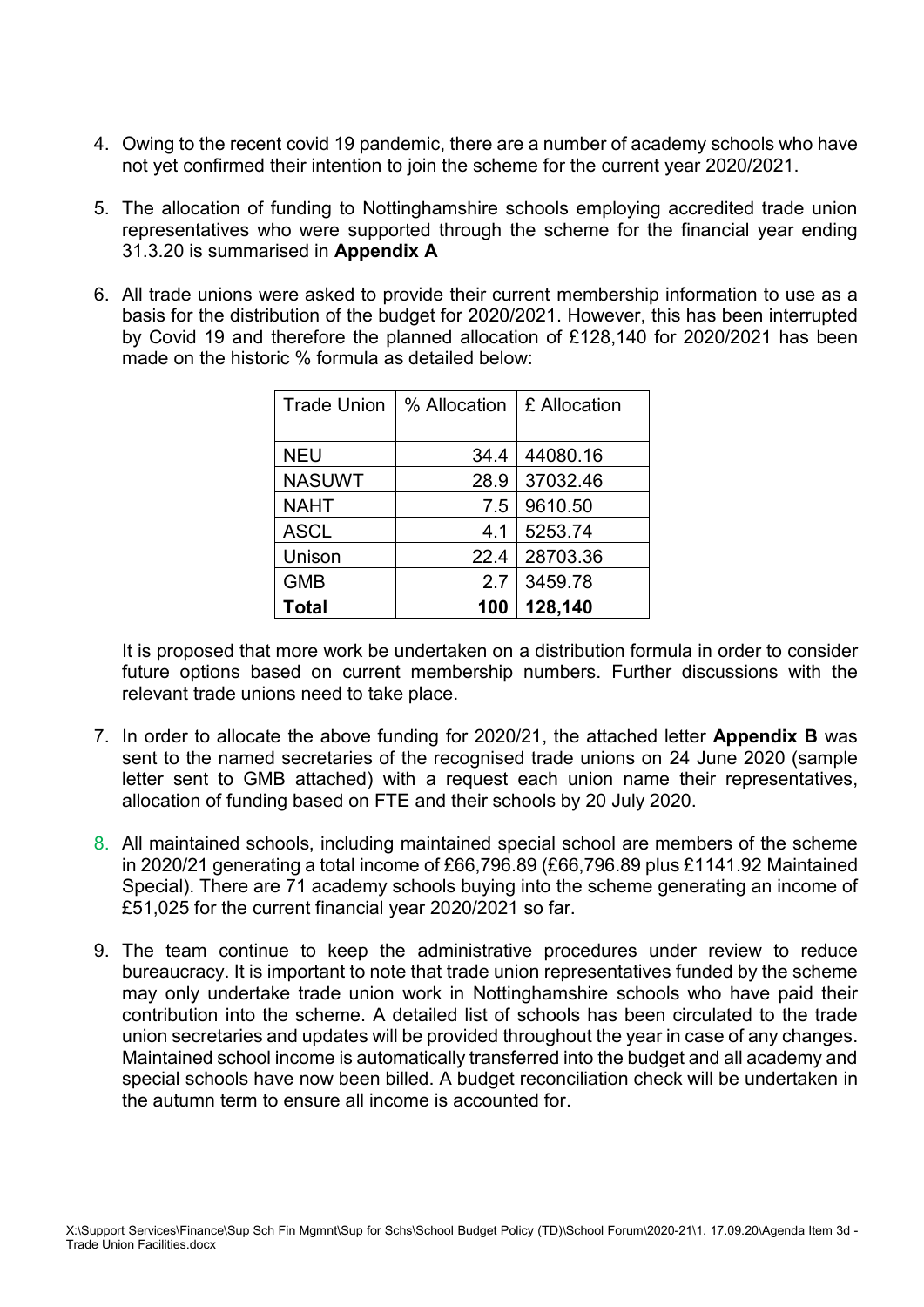- 4. Owing to the recent covid 19 pandemic, there are a number of academy schools who have not yet confirmed their intention to join the scheme for the current year 2020/2021.
- 5. The allocation of funding to Nottinghamshire schools employing accredited trade union representatives who were supported through the scheme for the financial year ending 31.3.20 is summarised in **Appendix A**
- 6. All trade unions were asked to provide their current membership information to use as a basis for the distribution of the budget for 2020/2021. However, this has been interrupted by Covid 19 and therefore the planned allocation of £128,140 for 2020/2021 has been made on the historic % formula as detailed below:

| <b>Trade Union</b> | % Allocation | £ Allocation |
|--------------------|--------------|--------------|
|                    |              |              |
| <b>NEU</b>         | 34.4         | 44080.16     |
| <b>NASUWT</b>      | 28.9         | 37032.46     |
| <b>NAHT</b>        | 7.5          | 9610.50      |
| <b>ASCL</b>        | 4.1          | 5253.74      |
| Unison             | 22.4         | 28703.36     |
| <b>GMB</b>         | 2.7          | 3459.78      |
| <b>Total</b>       | 100          | 128,140      |

It is proposed that more work be undertaken on a distribution formula in order to consider future options based on current membership numbers. Further discussions with the relevant trade unions need to take place.

- 7. In order to allocate the above funding for 2020/21, the attached letter **Appendix B** was sent to the named secretaries of the recognised trade unions on 24 June 2020 (sample letter sent to GMB attached) with a request each union name their representatives, allocation of funding based on FTE and their schools by 20 July 2020.
- 8. All maintained schools, including maintained special school are members of the scheme in 2020/21 generating a total income of £66,796.89 (£66,796.89 plus £1141.92 Maintained Special). There are 71 academy schools buying into the scheme generating an income of £51,025 for the current financial year 2020/2021 so far.
- 9. The team continue to keep the administrative procedures under review to reduce bureaucracy. It is important to note that trade union representatives funded by the scheme may only undertake trade union work in Nottinghamshire schools who have paid their contribution into the scheme. A detailed list of schools has been circulated to the trade union secretaries and updates will be provided throughout the year in case of any changes. Maintained school income is automatically transferred into the budget and all academy and special schools have now been billed. A budget reconciliation check will be undertaken in the autumn term to ensure all income is accounted for.